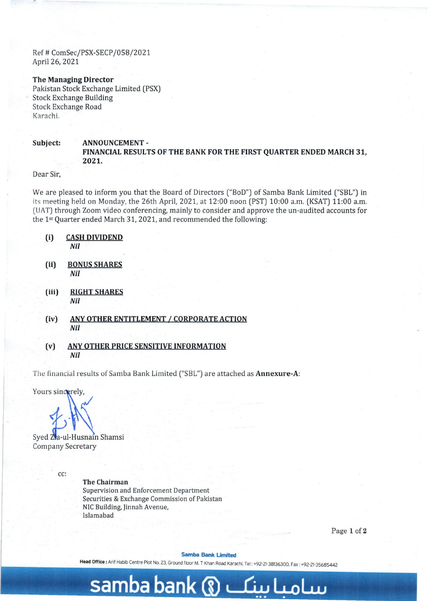Ref # ComSec/PSX-SECP /058/2021 April 26, 2021

### **The Managing Director**

Pakistan Stock Exchange Limited (PSX) Stock Exchange Building Stock Exchange Road Karachi.

# **Subject: ANNOUNCEMENT-FINANCIAL RESULTS OF THE BANK FOR THE FIRST QUARTER ENDED MARCH 31, 2021.**

Dear Sir,

We are pleased to inform you that the Board of Directors ("BoD") of Samba Bank Limited ("SBL") in its meeting held on Monday, the 26th April, 2021, at 12:00 noon (PST) 10:00 a.m. (KSAT) 11:00 a.m. (UAT) through Zoom *video* conferencing, mainly to consider and approve the un-audited accounts for the 1st Quarter ended March 31, 2021, and recommended the following:

- **(i) CASH DIVIDEND**  *Nil*
- **(ii)** BONUS SHARES *Nil*
- **(iii) RIGHT SHARES**  *Nil*
- **(iv) ANY OTHER ENTITLEMENT** *I* **CORPORATE ACTION**  *Nil*
- **(v) ANY OTHER PRICE SENSITIVE INFORMATION**  *Nil*

The financial results of Samba Bank Limited ("SBL") are attached as **Annexure-A:** 

Yours sincerely,

Syed Zia-ul-Husnain Shamsi **Company Secretary** 

cc:

. "The same state of the same state of the same state of the same state of the same state of the same state of

**The Chairman**  Supervision and Enforcement Department Securities & Exchange Commission of Pakistan NIC Building, Jinnah Avenue, Islamabad

Page 1 of 2

#### Samba Bank Umited

**Head Office:** Arif Habib Centre Plot No. 23. Ground floor M. T Khan Road Karachi. Tel: +92-21-38136300. Fax: +92-21-35685442

# **samba bank ® ~ L..oLw •• • •**